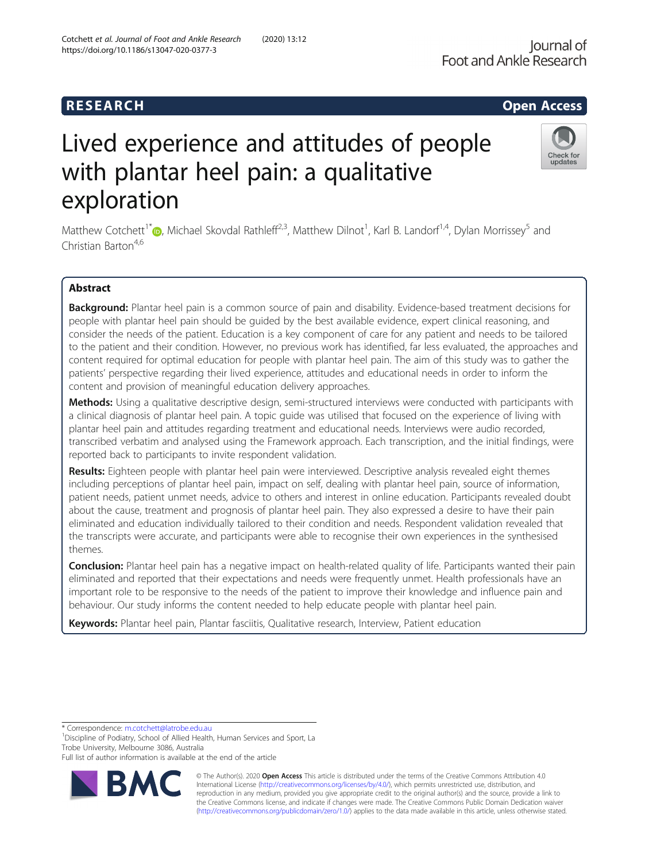# R E S EAR CH Open Access

# Lived experience and attitudes of people with plantar heel pain: a qualitative exploration

Matthew Cotchett<sup>1\*</sup> (D[,](http://orcid.org/0000-0001-6966-5324) Michael Skovdal Rathleff<sup>2,3</sup>, Matthew Dilnot<sup>1</sup>, Karl B. Landorf<sup>1,4</sup>, Dylan Morrissey<sup>5</sup> and  $Chritian$  Barton<sup>4,6</sup>

# Abstract

Background: Plantar heel pain is a common source of pain and disability. Evidence-based treatment decisions for people with plantar heel pain should be guided by the best available evidence, expert clinical reasoning, and consider the needs of the patient. Education is a key component of care for any patient and needs to be tailored to the patient and their condition. However, no previous work has identified, far less evaluated, the approaches and content required for optimal education for people with plantar heel pain. The aim of this study was to gather the patients' perspective regarding their lived experience, attitudes and educational needs in order to inform the content and provision of meaningful education delivery approaches.

Methods: Using a qualitative descriptive design, semi-structured interviews were conducted with participants with a clinical diagnosis of plantar heel pain. A topic guide was utilised that focused on the experience of living with plantar heel pain and attitudes regarding treatment and educational needs. Interviews were audio recorded, transcribed verbatim and analysed using the Framework approach. Each transcription, and the initial findings, were reported back to participants to invite respondent validation.

Results: Eighteen people with plantar heel pain were interviewed. Descriptive analysis revealed eight themes including perceptions of plantar heel pain, impact on self, dealing with plantar heel pain, source of information, patient needs, patient unmet needs, advice to others and interest in online education. Participants revealed doubt about the cause, treatment and prognosis of plantar heel pain. They also expressed a desire to have their pain eliminated and education individually tailored to their condition and needs. Respondent validation revealed that the transcripts were accurate, and participants were able to recognise their own experiences in the synthesised themes.

**Conclusion:** Plantar heel pain has a negative impact on health-related quality of life. Participants wanted their pain eliminated and reported that their expectations and needs were frequently unmet. Health professionals have an important role to be responsive to the needs of the patient to improve their knowledge and influence pain and behaviour. Our study informs the content needed to help educate people with plantar heel pain.

Keywords: Plantar heel pain, Plantar fasciitis, Qualitative research, Interview, Patient education

<sup>1</sup> Discipline of Podiatry, School of Allied Health, Human Services and Sport, La Trobe University, Melbourne 3086, Australia

Full list of author information is available at the end of the article

© The Author(s). 2020 **Open Access** This article is distributed under the terms of the Creative Commons Attribution 4.0 International License [\(http://creativecommons.org/licenses/by/4.0/](http://creativecommons.org/licenses/by/4.0/)), which permits unrestricted use, distribution, and reproduction in any medium, provided you give appropriate credit to the original author(s) and the source, provide a link to the Creative Commons license, and indicate if changes were made. The Creative Commons Public Domain Dedication waiver [\(http://creativecommons.org/publicdomain/zero/1.0/](http://creativecommons.org/publicdomain/zero/1.0/)) applies to the data made available in this article, unless otherwise stated.

\* Correspondence: [m.cotchett@latrobe.edu.au](mailto:m.cotchett@latrobe.edu.au) <sup>1</sup>

Cotchett et al. Journal of Foot and Ankle Research (2020) 13:12 https://doi.org/10.1186/s13047-020-0377-3





updates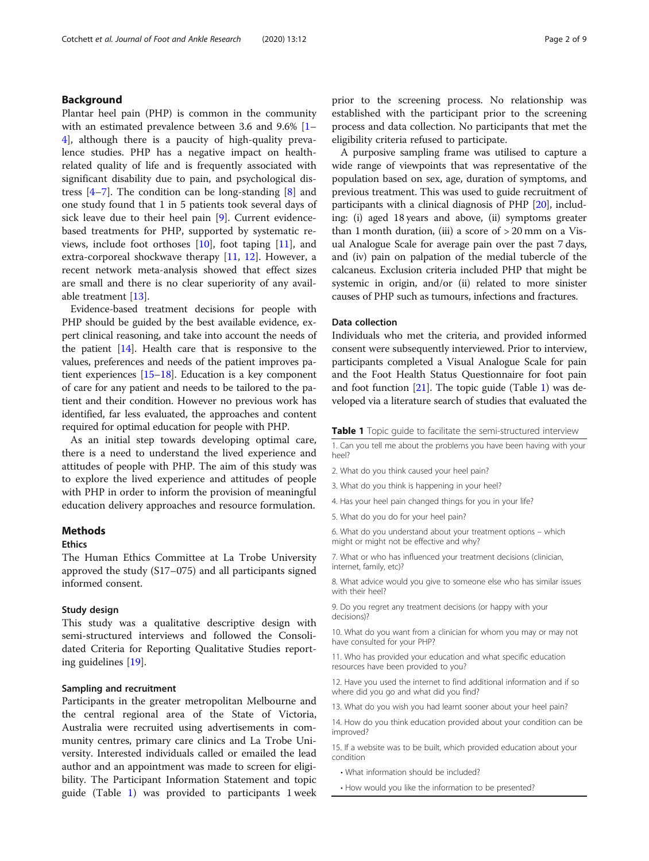# Background

Plantar heel pain (PHP) is common in the community with an estimated prevalence between 3.6 and 9.6% [[1](#page-7-0)– [4\]](#page-7-0), although there is a paucity of high-quality prevalence studies. PHP has a negative impact on healthrelated quality of life and is frequently associated with significant disability due to pain, and psychological distress [\[4](#page-7-0)–[7](#page-7-0)]. The condition can be long-standing [[8\]](#page-7-0) and one study found that 1 in 5 patients took several days of sick leave due to their heel pain [[9\]](#page-7-0). Current evidencebased treatments for PHP, supported by systematic reviews, include foot orthoses  $[10]$  $[10]$ , foot taping  $[11]$  $[11]$ , and extra-corporeal shockwave therapy [[11](#page-7-0), [12](#page-7-0)]. However, a recent network meta-analysis showed that effect sizes are small and there is no clear superiority of any available treatment [\[13\]](#page-7-0).

Evidence-based treatment decisions for people with PHP should be guided by the best available evidence, expert clinical reasoning, and take into account the needs of the patient  $[14]$  $[14]$  $[14]$ . Health care that is responsive to the values, preferences and needs of the patient improves patient experiences [[15](#page-7-0)–[18\]](#page-7-0). Education is a key component of care for any patient and needs to be tailored to the patient and their condition. However no previous work has identified, far less evaluated, the approaches and content required for optimal education for people with PHP.

As an initial step towards developing optimal care, there is a need to understand the lived experience and attitudes of people with PHP. The aim of this study was to explore the lived experience and attitudes of people with PHP in order to inform the provision of meaningful education delivery approaches and resource formulation.

### **Methods**

#### **Ethics**

The Human Ethics Committee at La Trobe University approved the study (S17–075) and all participants signed informed consent.

#### Study design

This study was a qualitative descriptive design with semi-structured interviews and followed the Consolidated Criteria for Reporting Qualitative Studies reporting guidelines [\[19](#page-7-0)].

#### Sampling and recruitment

Participants in the greater metropolitan Melbourne and the central regional area of the State of Victoria, Australia were recruited using advertisements in community centres, primary care clinics and La Trobe University. Interested individuals called or emailed the lead author and an appointment was made to screen for eligibility. The Participant Information Statement and topic guide (Table 1) was provided to participants 1 week prior to the screening process. No relationship was established with the participant prior to the screening process and data collection. No participants that met the eligibility criteria refused to participate.

A purposive sampling frame was utilised to capture a wide range of viewpoints that was representative of the population based on sex, age, duration of symptoms, and previous treatment. This was used to guide recruitment of participants with a clinical diagnosis of PHP [[20](#page-7-0)], including: (i) aged 18 years and above, (ii) symptoms greater than 1 month duration, (iii) a score of  $> 20$  mm on a Visual Analogue Scale for average pain over the past 7 days, and (iv) pain on palpation of the medial tubercle of the calcaneus. Exclusion criteria included PHP that might be systemic in origin, and/or (ii) related to more sinister causes of PHP such as tumours, infections and fractures.

#### Data collection

Individuals who met the criteria, and provided informed consent were subsequently interviewed. Prior to interview, participants completed a Visual Analogue Scale for pain and the Foot Health Status Questionnaire for foot pain and foot function [[21](#page-7-0)]. The topic guide (Table 1) was developed via a literature search of studies that evaluated the

Table 1 Topic quide to facilitate the semi-structured interview

1. Can you tell me about the problems you have been having with your heel?

- 2. What do you think caused your heel pain?
- 3. What do you think is happening in your heel?
- 4. Has your heel pain changed things for you in your life?
- 5. What do you do for your heel pain?
- 6. What do you understand about your treatment options which might or might not be effective and why?

7. What or who has influenced your treatment decisions (clinician, internet, family, etc)?

8. What advice would you give to someone else who has similar issues with their heel?

9. Do you regret any treatment decisions (or happy with your decisions)?

10. What do you want from a clinician for whom you may or may not have consulted for your PHP?

11. Who has provided your education and what specific education resources have been provided to you?

12. Have you used the internet to find additional information and if so where did you go and what did you find?

13. What do you wish you had learnt sooner about your heel pain?

14. How do you think education provided about your condition can be improved?

15. If a website was to be built, which provided education about your condition

• What information should be included?

• How would you like the information to be presented?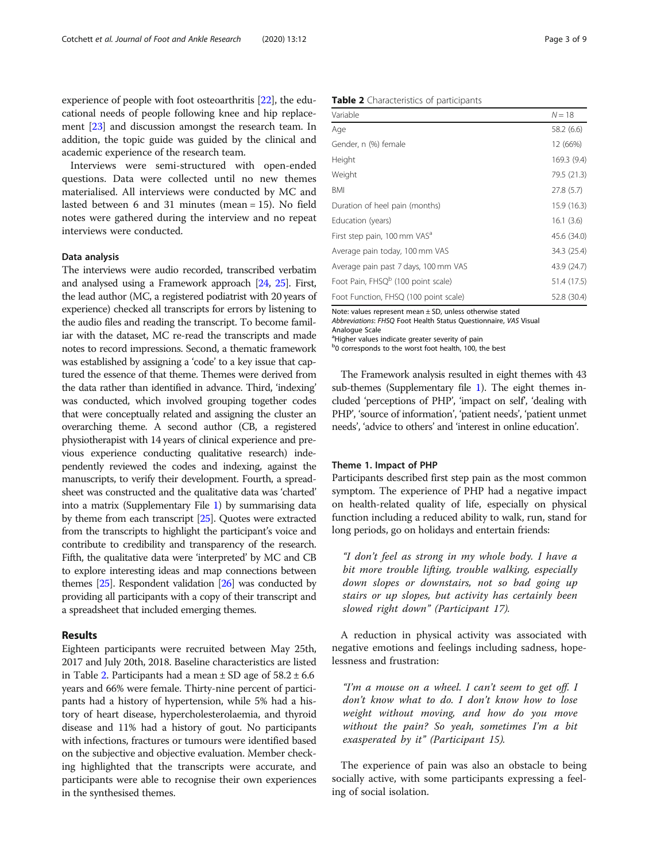experience of people with foot osteoarthritis [\[22\]](#page-7-0), the educational needs of people following knee and hip replacement [\[23](#page-7-0)] and discussion amongst the research team. In addition, the topic guide was guided by the clinical and academic experience of the research team.

Interviews were semi-structured with open-ended questions. Data were collected until no new themes materialised. All interviews were conducted by MC and lasted between 6 and 31 minutes (mean = 15). No field notes were gathered during the interview and no repeat interviews were conducted.

#### Data analysis

The interviews were audio recorded, transcribed verbatim and analysed using a Framework approach [\[24,](#page-8-0) [25](#page-8-0)]. First, the lead author (MC, a registered podiatrist with 20 years of experience) checked all transcripts for errors by listening to the audio files and reading the transcript. To become familiar with the dataset, MC re-read the transcripts and made notes to record impressions. Second, a thematic framework was established by assigning a 'code' to a key issue that captured the essence of that theme. Themes were derived from the data rather than identified in advance. Third, 'indexing' was conducted, which involved grouping together codes that were conceptually related and assigning the cluster an overarching theme. A second author (CB, a registered physiotherapist with 14 years of clinical experience and previous experience conducting qualitative research) independently reviewed the codes and indexing, against the manuscripts, to verify their development. Fourth, a spreadsheet was constructed and the qualitative data was 'charted' into a matrix (Supplementary File [1\)](#page-7-0) by summarising data by theme from each transcript [[25](#page-8-0)]. Quotes were extracted from the transcripts to highlight the participant's voice and contribute to credibility and transparency of the research. Fifth, the qualitative data were 'interpreted' by MC and CB to explore interesting ideas and map connections between themes  $[25]$ . Respondent validation  $[26]$  was conducted by providing all participants with a copy of their transcript and a spreadsheet that included emerging themes.

#### Results

Eighteen participants were recruited between May 25th, 2017 and July 20th, 2018. Baseline characteristics are listed in Table 2. Participants had a mean  $\pm$  SD age of 58.2  $\pm$  6.6 years and 66% were female. Thirty-nine percent of participants had a history of hypertension, while 5% had a history of heart disease, hypercholesterolaemia, and thyroid disease and 11% had a history of gout. No participants with infections, fractures or tumours were identified based on the subjective and objective evaluation. Member checking highlighted that the transcripts were accurate, and participants were able to recognise their own experiences in the synthesised themes.

Table 2 Characteristics of participants

| Variable                                       | $N = 18$    |
|------------------------------------------------|-------------|
| Age                                            | 58.2 (6.6)  |
| Gender, n (%) female                           | 12 (66%)    |
| Height                                         | 169.3 (9.4) |
| Weight                                         | 79.5 (21.3) |
| BMI                                            | 27.8 (5.7)  |
| Duration of heel pain (months)                 | 15.9 (16.3) |
| Education (years)                              | 16.1(3.6)   |
| First step pain, 100 mm VAS <sup>a</sup>       | 45.6 (34.0) |
| Average pain today, 100 mm VAS                 | 34.3 (25.4) |
| Average pain past 7 days, 100 mm VAS           | 43.9 (24.7) |
| Foot Pain, FHSQ <sup>b</sup> (100 point scale) | 51.4 (17.5) |
| Foot Function, FHSQ (100 point scale)          | 52.8 (30.4) |

Note: values represent mean ± SD, unless otherwise stated Abbreviations: FHSQ Foot Health Status Questionnaire, VAS Visual

Analogue Scale

<sup>a</sup>Higher values indicate greater severity of pain

b<sub>0</sub> corresponds to the worst foot health, 100, the best

The Framework analysis resulted in eight themes with 43 sub-themes (Supplementary file [1\)](#page-7-0). The eight themes included 'perceptions of PHP', 'impact on self', 'dealing with PHP', 'source of information', 'patient needs', 'patient unmet needs', 'advice to others' and 'interest in online education'.

#### Theme 1. Impact of PHP

Participants described first step pain as the most common symptom. The experience of PHP had a negative impact on health-related quality of life, especially on physical function including a reduced ability to walk, run, stand for long periods, go on holidays and entertain friends:

"I don't feel as strong in my whole body. I have a bit more trouble lifting, trouble walking, especially down slopes or downstairs, not so bad going up stairs or up slopes, but activity has certainly been slowed right down" (Participant 17).

A reduction in physical activity was associated with negative emotions and feelings including sadness, hopelessness and frustration:

"I'm a mouse on a wheel. I can't seem to get off. I don't know what to do. I don't know how to lose weight without moving, and how do you move without the pain? So yeah, sometimes I'm a bit exasperated by it" (Participant 15).

The experience of pain was also an obstacle to being socially active, with some participants expressing a feeling of social isolation.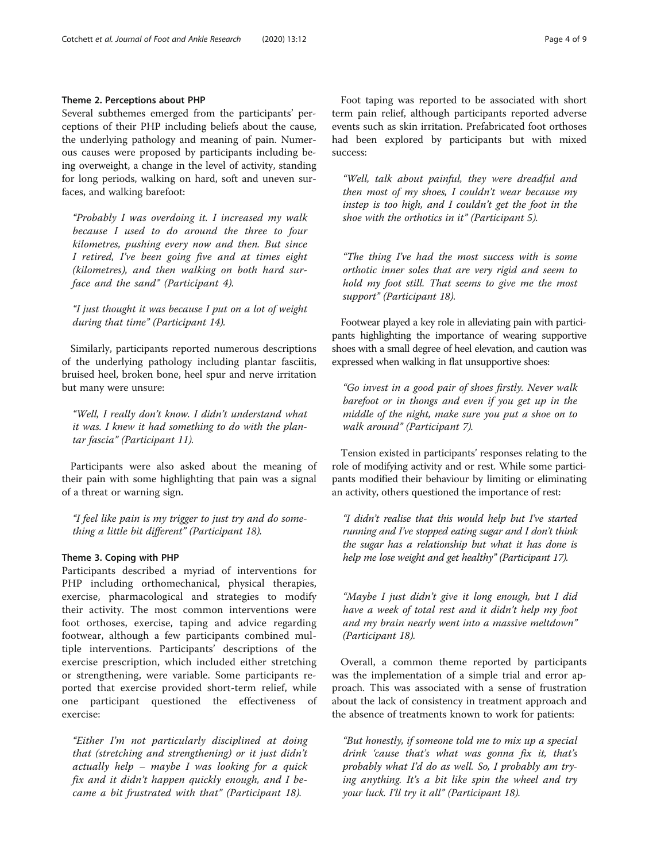# Theme 2. Perceptions about PHP

Several subthemes emerged from the participants' perceptions of their PHP including beliefs about the cause, the underlying pathology and meaning of pain. Numerous causes were proposed by participants including being overweight, a change in the level of activity, standing for long periods, walking on hard, soft and uneven surfaces, and walking barefoot:

"Probably I was overdoing it. I increased my walk because I used to do around the three to four kilometres, pushing every now and then. But since I retired, I've been going five and at times eight (kilometres), and then walking on both hard surface and the sand" (Participant 4).

"I just thought it was because I put on a lot of weight during that time" (Participant 14).

Similarly, participants reported numerous descriptions of the underlying pathology including plantar fasciitis, bruised heel, broken bone, heel spur and nerve irritation but many were unsure:

"Well, I really don't know. I didn't understand what it was. I knew it had something to do with the plantar fascia" (Participant 11).

Participants were also asked about the meaning of their pain with some highlighting that pain was a signal of a threat or warning sign.

"I feel like pain is my trigger to just try and do something a little bit different" (Participant 18).

# Theme 3. Coping with PHP

Participants described a myriad of interventions for PHP including orthomechanical, physical therapies, exercise, pharmacological and strategies to modify their activity. The most common interventions were foot orthoses, exercise, taping and advice regarding footwear, although a few participants combined multiple interventions. Participants' descriptions of the exercise prescription, which included either stretching or strengthening, were variable. Some participants reported that exercise provided short-term relief, while one participant questioned the effectiveness of exercise:

"Either I'm not particularly disciplined at doing that (stretching and strengthening) or it just didn't actually help – maybe I was looking for a quick fix and it didn't happen quickly enough, and I became a bit frustrated with that" (Participant 18).

Foot taping was reported to be associated with short term pain relief, although participants reported adverse events such as skin irritation. Prefabricated foot orthoses had been explored by participants but with mixed success:

"Well, talk about painful, they were dreadful and then most of my shoes, I couldn't wear because my instep is too high, and I couldn't get the foot in the shoe with the orthotics in it" (Participant 5).

"The thing I've had the most success with is some orthotic inner soles that are very rigid and seem to hold my foot still. That seems to give me the most support" (Participant 18).

Footwear played a key role in alleviating pain with participants highlighting the importance of wearing supportive shoes with a small degree of heel elevation, and caution was expressed when walking in flat unsupportive shoes:

"Go invest in a good pair of shoes firstly. Never walk barefoot or in thongs and even if you get up in the middle of the night, make sure you put a shoe on to walk around" (Participant 7).

Tension existed in participants' responses relating to the role of modifying activity and or rest. While some participants modified their behaviour by limiting or eliminating an activity, others questioned the importance of rest:

"I didn't realise that this would help but I've started running and I've stopped eating sugar and I don't think the sugar has a relationship but what it has done is help me lose weight and get healthy" (Participant 17).

"Maybe I just didn't give it long enough, but I did have a week of total rest and it didn't help my foot and my brain nearly went into a massive meltdown" (Participant 18).

Overall, a common theme reported by participants was the implementation of a simple trial and error approach. This was associated with a sense of frustration about the lack of consistency in treatment approach and the absence of treatments known to work for patients:

"But honestly, if someone told me to mix up a special drink 'cause that's what was gonna fix it, that's probably what I'd do as well. So, I probably am trying anything. It's a bit like spin the wheel and try your luck. I'll try it all" (Participant 18).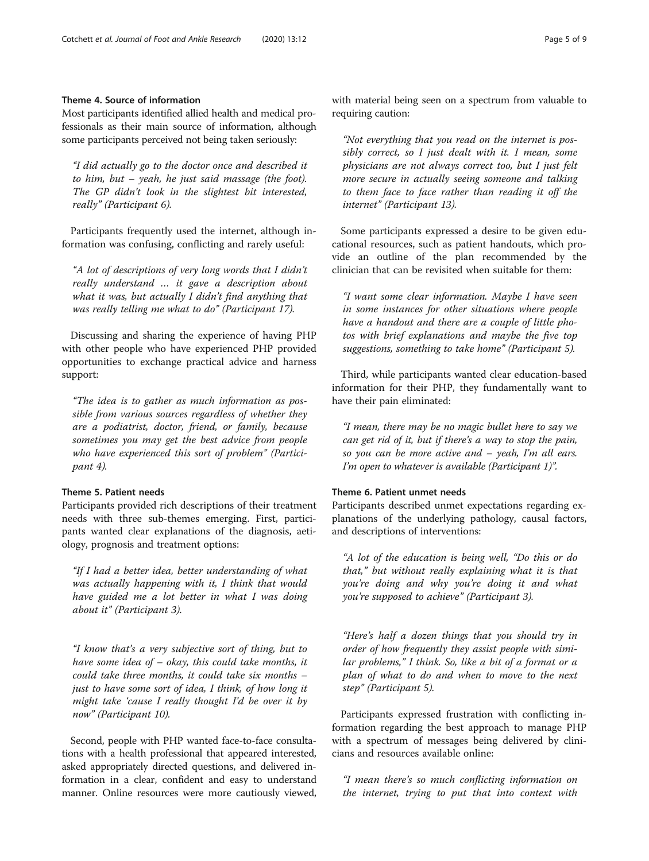# Theme 4. Source of information

Most participants identified allied health and medical professionals as their main source of information, although some participants perceived not being taken seriously:

"I did actually go to the doctor once and described it to him, but – yeah, he just said massage (the foot). The GP didn't look in the slightest bit interested, really" (Participant 6).

Participants frequently used the internet, although information was confusing, conflicting and rarely useful:

"A lot of descriptions of very long words that I didn't really understand … it gave a description about what it was, but actually I didn't find anything that was really telling me what to do" (Participant 17).

Discussing and sharing the experience of having PHP with other people who have experienced PHP provided opportunities to exchange practical advice and harness support:

"The idea is to gather as much information as possible from various sources regardless of whether they are a podiatrist, doctor, friend, or family, because sometimes you may get the best advice from people who have experienced this sort of problem" (Participant 4).

# Theme 5. Patient needs

Participants provided rich descriptions of their treatment needs with three sub-themes emerging. First, participants wanted clear explanations of the diagnosis, aetiology, prognosis and treatment options:

"If I had a better idea, better understanding of what was actually happening with it, I think that would have guided me a lot better in what I was doing about it" (Participant 3).

"I know that's a very subjective sort of thing, but to have some idea of  $-$  okay, this could take months, it could take three months, it could take six months – just to have some sort of idea, I think, of how long it might take 'cause I really thought I'd be over it by now" (Participant 10).

Second, people with PHP wanted face-to-face consultations with a health professional that appeared interested, asked appropriately directed questions, and delivered information in a clear, confident and easy to understand manner. Online resources were more cautiously viewed, with material being seen on a spectrum from valuable to requiring caution:

"Not everything that you read on the internet is possibly correct, so I just dealt with it. I mean, some physicians are not always correct too, but I just felt more secure in actually seeing someone and talking to them face to face rather than reading it off the internet" (Participant 13).

Some participants expressed a desire to be given educational resources, such as patient handouts, which provide an outline of the plan recommended by the clinician that can be revisited when suitable for them:

"I want some clear information. Maybe I have seen in some instances for other situations where people have a handout and there are a couple of little photos with brief explanations and maybe the five top suggestions, something to take home" (Participant 5).

Third, while participants wanted clear education-based information for their PHP, they fundamentally want to have their pain eliminated:

"I mean, there may be no magic bullet here to say we can get rid of it, but if there's a way to stop the pain, so you can be more active and – yeah, I'm all ears. I'm open to whatever is available (Participant 1)".

# Theme 6. Patient unmet needs

Participants described unmet expectations regarding explanations of the underlying pathology, causal factors, and descriptions of interventions:

"A lot of the education is being well, "Do this or do that," but without really explaining what it is that you're doing and why you're doing it and what you're supposed to achieve" (Participant 3).

"Here's half a dozen things that you should try in order of how frequently they assist people with similar problems," I think. So, like a bit of a format or a plan of what to do and when to move to the next step" (Participant 5).

Participants expressed frustration with conflicting information regarding the best approach to manage PHP with a spectrum of messages being delivered by clinicians and resources available online:

"I mean there's so much conflicting information on the internet, trying to put that into context with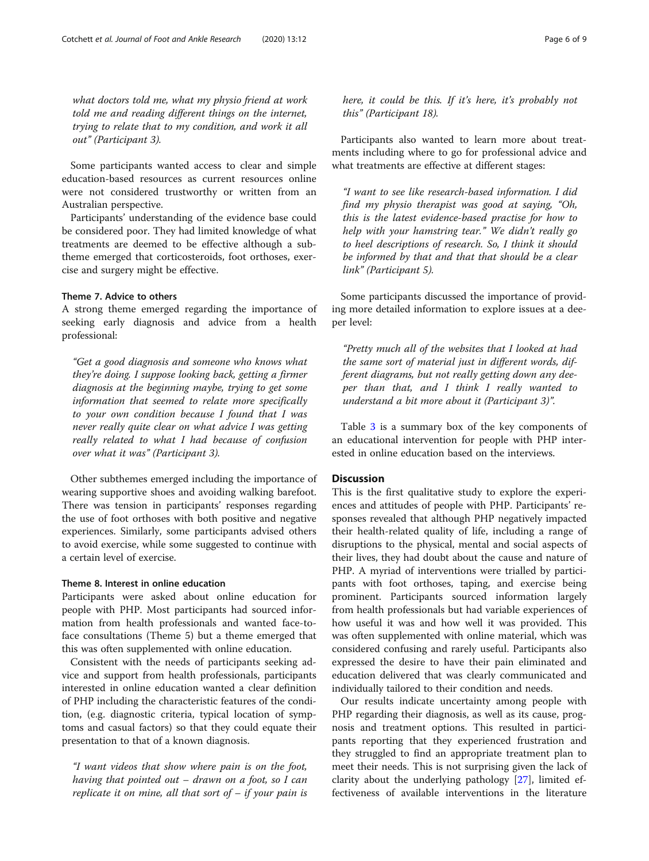what doctors told me, what my physio friend at work told me and reading different things on the internet, trying to relate that to my condition, and work it all out" (Participant 3).

Some participants wanted access to clear and simple education-based resources as current resources online were not considered trustworthy or written from an Australian perspective.

Participants' understanding of the evidence base could be considered poor. They had limited knowledge of what treatments are deemed to be effective although a subtheme emerged that corticosteroids, foot orthoses, exercise and surgery might be effective.

# Theme 7. Advice to others

A strong theme emerged regarding the importance of seeking early diagnosis and advice from a health professional:

"Get a good diagnosis and someone who knows what they're doing. I suppose looking back, getting a firmer diagnosis at the beginning maybe, trying to get some information that seemed to relate more specifically to your own condition because I found that I was never really quite clear on what advice I was getting really related to what I had because of confusion over what it was" (Participant 3).

Other subthemes emerged including the importance of wearing supportive shoes and avoiding walking barefoot. There was tension in participants' responses regarding the use of foot orthoses with both positive and negative experiences. Similarly, some participants advised others to avoid exercise, while some suggested to continue with a certain level of exercise.

# Theme 8. Interest in online education

Participants were asked about online education for people with PHP. Most participants had sourced information from health professionals and wanted face-toface consultations (Theme 5) but a theme emerged that this was often supplemented with online education.

Consistent with the needs of participants seeking advice and support from health professionals, participants interested in online education wanted a clear definition of PHP including the characteristic features of the condition, (e.g. diagnostic criteria, typical location of symptoms and casual factors) so that they could equate their presentation to that of a known diagnosis.

"I want videos that show where pain is on the foot, having that pointed out – drawn on a foot, so I can replicate it on mine, all that sort of  $-$  if your pain is here, it could be this. If it's here, it's probably not this" (Participant 18).

Participants also wanted to learn more about treatments including where to go for professional advice and what treatments are effective at different stages:

"I want to see like research-based information. I did find my physio therapist was good at saying, "Oh, this is the latest evidence-based practise for how to help with your hamstring tear." We didn't really go to heel descriptions of research. So, I think it should be informed by that and that that should be a clear link" (Participant 5).

Some participants discussed the importance of providing more detailed information to explore issues at a deeper level:

"Pretty much all of the websites that I looked at had the same sort of material just in different words, different diagrams, but not really getting down any deeper than that, and I think I really wanted to understand a bit more about it (Participant 3)".

Table [3](#page-6-0) is a summary box of the key components of an educational intervention for people with PHP interested in online education based on the interviews.

#### **Discussion**

This is the first qualitative study to explore the experiences and attitudes of people with PHP. Participants' responses revealed that although PHP negatively impacted their health-related quality of life, including a range of disruptions to the physical, mental and social aspects of their lives, they had doubt about the cause and nature of PHP. A myriad of interventions were trialled by participants with foot orthoses, taping, and exercise being prominent. Participants sourced information largely from health professionals but had variable experiences of how useful it was and how well it was provided. This was often supplemented with online material, which was considered confusing and rarely useful. Participants also expressed the desire to have their pain eliminated and education delivered that was clearly communicated and individually tailored to their condition and needs.

Our results indicate uncertainty among people with PHP regarding their diagnosis, as well as its cause, prognosis and treatment options. This resulted in participants reporting that they experienced frustration and they struggled to find an appropriate treatment plan to meet their needs. This is not surprising given the lack of clarity about the underlying pathology [\[27\]](#page-8-0), limited effectiveness of available interventions in the literature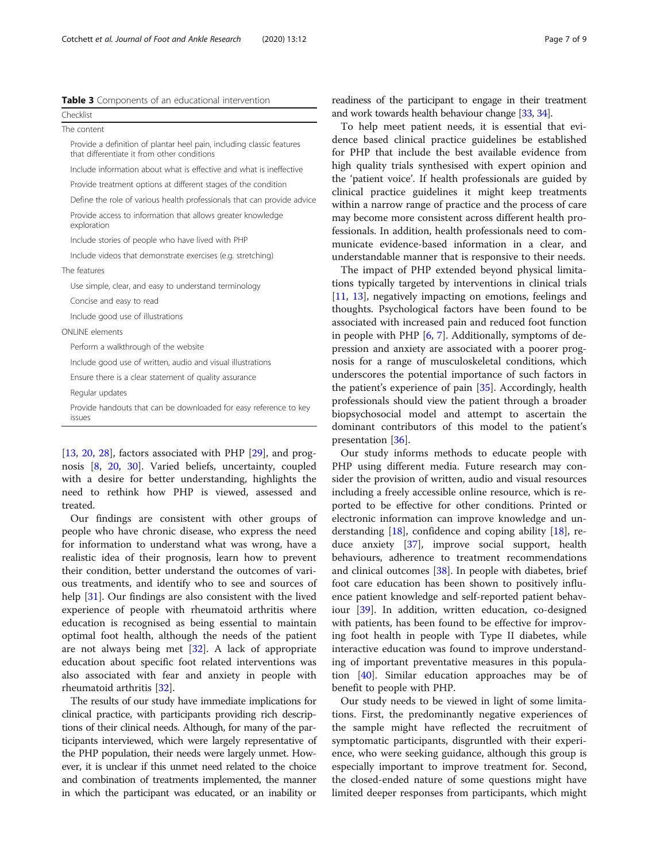<span id="page-6-0"></span>

|  |  | Table 3 Components of an educational intervention |  |  |  |  |
|--|--|---------------------------------------------------|--|--|--|--|
|--|--|---------------------------------------------------|--|--|--|--|

| Checklist                                                                                                            |  |  |  |  |  |  |
|----------------------------------------------------------------------------------------------------------------------|--|--|--|--|--|--|
| The content                                                                                                          |  |  |  |  |  |  |
| Provide a definition of plantar heel pain, including classic features<br>that differentiate it from other conditions |  |  |  |  |  |  |
| Include information about what is effective and what is ineffective                                                  |  |  |  |  |  |  |
| Provide treatment options at different stages of the condition                                                       |  |  |  |  |  |  |
| Define the role of various health professionals that can provide advice                                              |  |  |  |  |  |  |
| Provide access to information that allows greater knowledge<br>exploration                                           |  |  |  |  |  |  |
| Include stories of people who have lived with PHP                                                                    |  |  |  |  |  |  |
| Include videos that demonstrate exercises (e.g. stretching)                                                          |  |  |  |  |  |  |
| The features                                                                                                         |  |  |  |  |  |  |
| Use simple, clear, and easy to understand terminology                                                                |  |  |  |  |  |  |
| Concise and easy to read                                                                                             |  |  |  |  |  |  |
| Include good use of illustrations                                                                                    |  |  |  |  |  |  |
| ONI INF elements                                                                                                     |  |  |  |  |  |  |
| Perform a walkthrough of the website                                                                                 |  |  |  |  |  |  |
| Include good use of written, audio and visual illustrations                                                          |  |  |  |  |  |  |
| Ensure there is a clear statement of quality assurance                                                               |  |  |  |  |  |  |
| Regular updates                                                                                                      |  |  |  |  |  |  |
| Provide handouts that can be downloaded for easy reference to key<br>issues                                          |  |  |  |  |  |  |

[[13,](#page-7-0) [20](#page-7-0), [28](#page-8-0)], factors associated with PHP [\[29](#page-8-0)], and prognosis [\[8](#page-7-0), [20,](#page-7-0) [30\]](#page-8-0). Varied beliefs, uncertainty, coupled with a desire for better understanding, highlights the need to rethink how PHP is viewed, assessed and treated.

Our findings are consistent with other groups of people who have chronic disease, who express the need for information to understand what was wrong, have a realistic idea of their prognosis, learn how to prevent their condition, better understand the outcomes of various treatments, and identify who to see and sources of help [[31](#page-8-0)]. Our findings are also consistent with the lived experience of people with rheumatoid arthritis where education is recognised as being essential to maintain optimal foot health, although the needs of the patient are not always being met [\[32](#page-8-0)]. A lack of appropriate education about specific foot related interventions was also associated with fear and anxiety in people with rheumatoid arthritis [\[32](#page-8-0)].

The results of our study have immediate implications for clinical practice, with participants providing rich descriptions of their clinical needs. Although, for many of the participants interviewed, which were largely representative of the PHP population, their needs were largely unmet. However, it is unclear if this unmet need related to the choice and combination of treatments implemented, the manner in which the participant was educated, or an inability or

readiness of the participant to engage in their treatment and work towards health behaviour change [\[33](#page-8-0), [34](#page-8-0)].

To help meet patient needs, it is essential that evidence based clinical practice guidelines be established for PHP that include the best available evidence from high quality trials synthesised with expert opinion and the 'patient voice'. If health professionals are guided by clinical practice guidelines it might keep treatments within a narrow range of practice and the process of care may become more consistent across different health professionals. In addition, health professionals need to communicate evidence-based information in a clear, and understandable manner that is responsive to their needs.

The impact of PHP extended beyond physical limitations typically targeted by interventions in clinical trials [[11,](#page-7-0) [13](#page-7-0)], negatively impacting on emotions, feelings and thoughts. Psychological factors have been found to be associated with increased pain and reduced foot function in people with PHP [\[6](#page-7-0), [7](#page-7-0)]. Additionally, symptoms of depression and anxiety are associated with a poorer prognosis for a range of musculoskeletal conditions, which underscores the potential importance of such factors in the patient's experience of pain [\[35](#page-8-0)]. Accordingly, health professionals should view the patient through a broader biopsychosocial model and attempt to ascertain the dominant contributors of this model to the patient's presentation [[36](#page-8-0)].

Our study informs methods to educate people with PHP using different media. Future research may consider the provision of written, audio and visual resources including a freely accessible online resource, which is reported to be effective for other conditions. Printed or electronic information can improve knowledge and understanding  $[18]$  $[18]$  $[18]$ , confidence and coping ability  $[18]$ , reduce anxiety [[37](#page-8-0)], improve social support, health behaviours, adherence to treatment recommendations and clinical outcomes [[38](#page-8-0)]. In people with diabetes, brief foot care education has been shown to positively influence patient knowledge and self-reported patient behaviour [\[39](#page-8-0)]. In addition, written education, co-designed with patients, has been found to be effective for improving foot health in people with Type II diabetes, while interactive education was found to improve understanding of important preventative measures in this population [\[40](#page-8-0)]. Similar education approaches may be of benefit to people with PHP.

Our study needs to be viewed in light of some limitations. First, the predominantly negative experiences of the sample might have reflected the recruitment of symptomatic participants, disgruntled with their experience, who were seeking guidance, although this group is especially important to improve treatment for. Second, the closed-ended nature of some questions might have limited deeper responses from participants, which might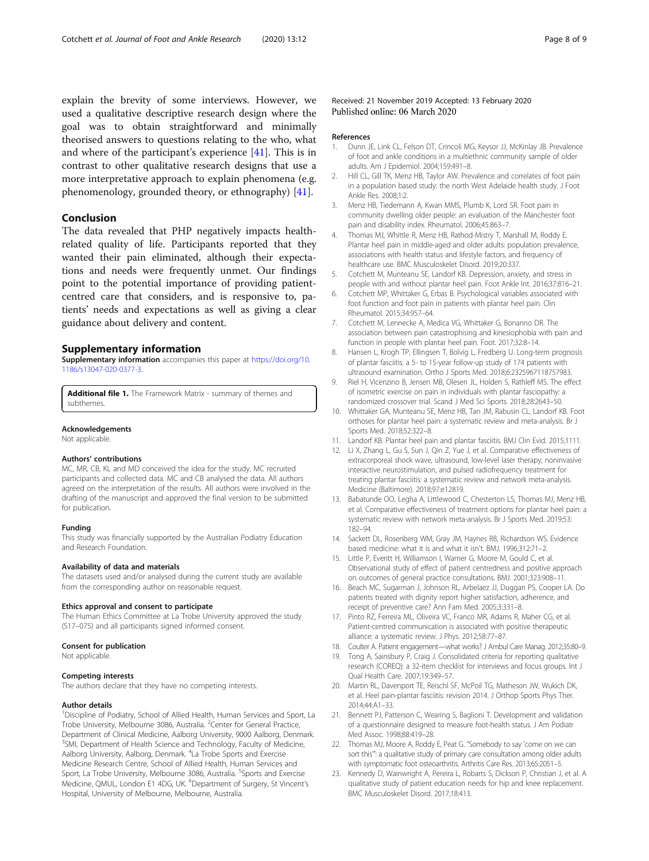<span id="page-7-0"></span>explain the brevity of some interviews. However, we used a qualitative descriptive research design where the goal was to obtain straightforward and minimally theorised answers to questions relating to the who, what and where of the participant's experience [\[41](#page-8-0)]. This is in contrast to other qualitative research designs that use a more interpretative approach to explain phenomena (e.g. phenomenology, grounded theory, or ethnography) [\[41](#page-8-0)].

# Conclusion

The data revealed that PHP negatively impacts healthrelated quality of life. Participants reported that they wanted their pain eliminated, although their expectations and needs were frequently unmet. Our findings point to the potential importance of providing patientcentred care that considers, and is responsive to, patients' needs and expectations as well as giving a clear guidance about delivery and content.

#### Supplementary information

Supplementary information accompanies this paper at [https://doi.org/10.](https://doi.org/10.1186/s13047-020-0377-3) [1186/s13047-020-0377-3.](https://doi.org/10.1186/s13047-020-0377-3)

Additional file 1. The Framework Matrix - summary of themes and subthemes.

#### Acknowledgements

Not applicable.

#### Authors' contributions

MC, MR, CB, KL and MD conceived the idea for the study. MC recruited participants and collected data. MC and CB analysed the data. All authors agreed on the interpretation of the results. All authors were involved in the drafting of the manuscript and approved the final version to be submitted for publication.

#### Funding

This study was financially supported by the Australian Podiatry Education and Research Foundation.

#### Availability of data and materials

The datasets used and/or analysed during the current study are available from the corresponding author on reasonable request.

#### Ethics approval and consent to participate

The Human Ethics Committee at La Trobe University approved the study (S17–075) and all participants signed informed consent.

#### Consent for publication

Not applicable.

#### Competing interests

The authors declare that they have no competing interests.

#### Author details

<sup>1</sup>Discipline of Podiatry, School of Allied Health, Human Services and Sport, La Trobe University, Melbourne 3086, Australia. <sup>2</sup> Center for General Practice, Department of Clinical Medicine, Aalborg University, 9000 Aalborg, Denmark. <sup>3</sup>SMI, Department of Health Science and Technology, Faculty of Medicine, Aalborg University, Aalborg, Denmark. <sup>4</sup>La Trobe Sports and Exercise Medicine Research Centre, School of Allied Health, Human Services and Sport, La Trobe University, Melbourne 3086, Australia. <sup>5</sup>Sports and Exercise Medicine, QMUL, London E1 4DG, UK. <sup>6</sup>Department of Surgery, St Vincent's Hospital, University of Melbourne, Melbourne, Australia.

#### Received: 21 November 2019 Accepted: 13 February 2020 Published online: 06 March 2020

#### References

- 1. Dunn JE, Link CL, Felson DT, Crincoli MG, Keysor JJ, McKinlay JB. Prevalence of foot and ankle conditions in a multiethnic community sample of older adults. Am J Epidemiol. 2004;159:491–8.
- 2. Hill CL, Gill TK, Menz HB, Taylor AW. Prevalence and correlates of foot pain in a population based study: the north West Adelaide health study. J Foot Ankle Res. 2008;1:2.
- 3. Menz HB, Tiedemann A, Kwan MMS, Plumb K, Lord SR. Foot pain in community dwelling older people: an evaluation of the Manchester foot pain and disability index. Rheumatol. 2006;45:863–7.
- 4. Thomas MJ, Whittle R, Menz HB, Rathod-Mistry T, Marshall M, Roddy E. Plantar heel pain in middle-aged and older adults: population prevalence, associations with health status and lifestyle factors, and frequency of healthcare use. BMC Musculoskelet Disord. 2019;20:337.
- 5. Cotchett M, Munteanu SE, Landorf KB. Depression, anxiety, and stress in people with and without plantar heel pain. Foot Ankle Int. 2016;37:816–21.
- 6. Cotchett MP, Whittaker G, Erbas B. Psychological variables associated with foot function and foot pain in patients with plantar heel pain. Clin Rheumatol. 2015;34:957–64.
- 7. Cotchett M, Lennecke A, Medica VG, Whittaker G, Bonanno DR. The association between pain catastrophising and kinesiophobia with pain and function in people with plantar heel pain. Foot. 2017;32:8–14.
- 8. Hansen L, Krogh TP, Ellingsen T, Bolvig L, Fredberg U. Long-term prognosis of plantar fasciitis: a 5- to 15-year follow-up study of 174 patients with ultrasound examination. Ortho J Sports Med. 2018;6:2325967118757983.
- 9. Riel H, Vicenzino B, Jensen MB, Olesen JL, Holden S, Rathleff MS. The effect of isometric exercise on pain in individuals with plantar fasciopathy: a randomized crossover trial. Scand J Med Sci Sports. 2018;28:2643–50.
- 10. Whittaker GA, Munteanu SE, Menz HB, Tan JM, Rabusin CL, Landorf KB. Foot orthoses for plantar heel pain: a systematic review and meta-analysis. Br J Sports Med. 2018;52:322–8.
- 11. Landorf KB. Plantar heel pain and plantar fasciitis. BMJ Clin Evid. 2015;1111.
- 12. Li X, Zhang L, Gu S, Sun J, Qin Z, Yue J, et al. Comparative effectiveness of extracorporeal shock wave, ultrasound, low-level laser therapy, noninvasive interactive neurostimulation, and pulsed radiofrequency treatment for treating plantar fasciitis: a systematic review and network meta-analysis. Medicine (Baltimore). 2018;97:e12819.
- 13. Babatunde OO, Legha A, Littlewood C, Chesterton LS, Thomas MJ, Menz HB, et al. Comparative effectiveness of treatment options for plantar heel pain: a systematic review with network meta-analysis. Br J Sports Med. 2019;53: 182–94.
- 14. Sackett DL, Rosenberg WM, Gray JM, Haynes RB, Richardson WS. Evidence based medicine: what it is and what it isn't. BMJ. 1996;312:71–2.
- 15. Little P, Everitt H, Williamson I, Warner G, Moore M, Gould C, et al. Observational study of effect of patient centredness and positive approach on outcomes of general practice consultations. BMJ. 2001;323:908–11.
- 16. Beach MC, Sugarman J, Johnson RL, Arbelaez JJ, Duggan PS, Cooper LA. Do patients treated with dignity report higher satisfaction, adherence, and receipt of preventive care? Ann Fam Med. 2005;3:331–8.
- 17. Pinto RZ, Ferreira ML, Oliveira VC, Franco MR, Adams R, Maher CG, et al. Patient-centred communication is associated with positive therapeutic alliance: a systematic review. J Phys. 2012;58:77–87.
- 18. Coulter A. Patient engagement—what works? J Ambul Care Manag. 2012;35:80–9.
- 19. Tong A, Sainsbury P, Craig J. Consolidated criteria for reporting qualitative
- research (COREQ): a 32-item checklist for interviews and focus groups. Int J Qual Health Care. 2007;19:349–57. 20. Martin RL, Davenport TE, Reischl SF, McPoil TG, Matheson JW, Wukich DK,
- et al. Heel pain-plantar fasciitis: revision 2014. J Orthop Sports Phys Ther. 2014;44:A1–33.
- 21. Bennett PJ, Patterson C, Wearing S, Baglioni T. Development and validation of a questionnaire designed to measure foot-health status. J Am Podiatr Med Assoc. 1998;88:419–28.
- 22. Thomas MJ, Moore A, Roddy E, Peat G. "Somebody to say 'come on we can sort this'": a qualitative study of primary care consultation among older adults with symptomatic foot osteoarthritis. Arthritis Care Res. 2013;65:2051–5.
- 23. Kennedy D, Wainwright A, Pereira L, Robarts S, Dickson P, Christian J, et al. A qualitative study of patient education needs for hip and knee replacement. BMC Musculoskelet Disord. 2017;18:413.